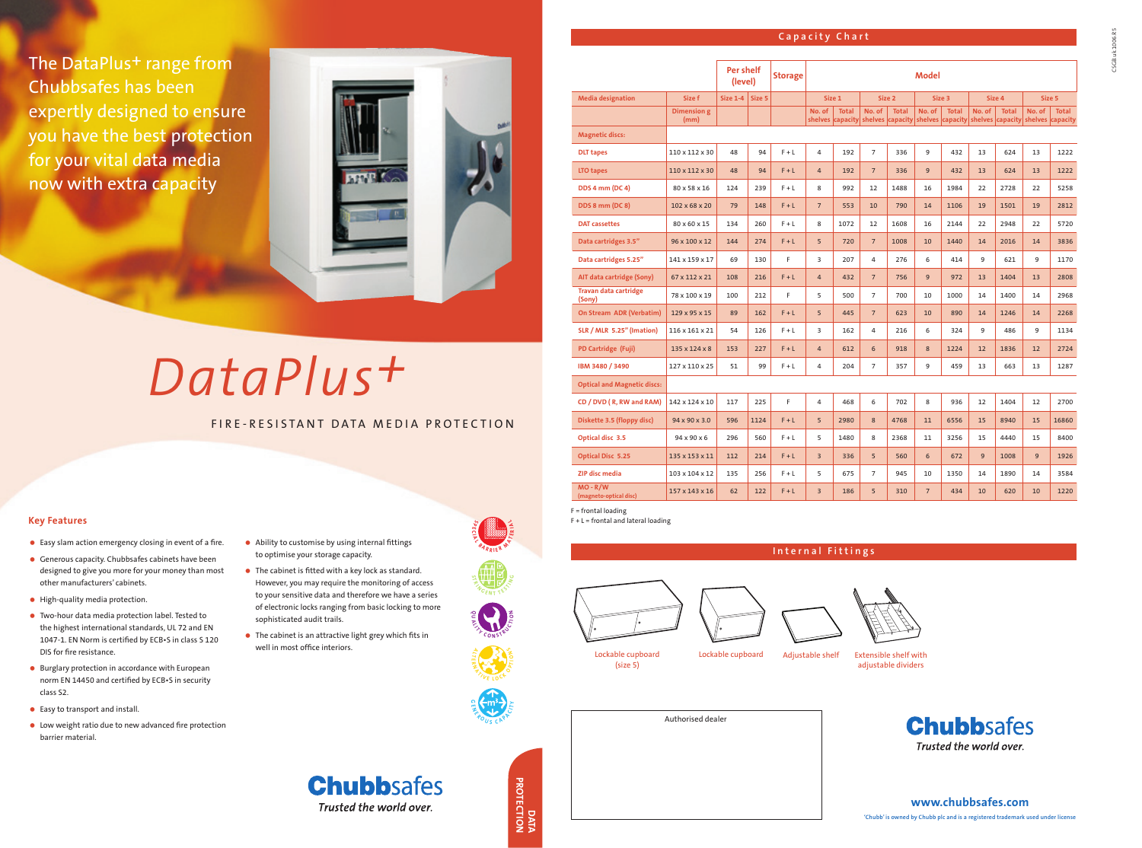The DataPlus<sup>+</sup> range from Chubbsafes has been expertly designed to ensure you have the best protection for your vital data media now with extra capacity



#### **Capacity Chart**

- Easy slam action emergency closing in event of a fire.
- Generous capacity. Chubbsafes cabinets have been designed to give you more for your money than most other manufacturers' cabinets.
- High-quality media protection.
- Two-hour data media protection label. Tested to the highest international standards, UL 72 and EN 1047-1. EN Norm is certified by ECB•S in class S 120 DIS for fire resistance.
- Burglary protection in accordance with European norm EN 14450 and certified by ECB•S in security class S2.
- Easy to transport and install.
- Low weight ratio due to new advanced fire protection barrier material.

**PROTECTION PROTECTION**



- Ability to customise by using internal fittings to optimise your storage capacity.
- The cabinet is fitted with a key lock as standard. However, you may require the monitoring of access to your sensitive data and therefore we have a series of electronic locks ranging from basic locking to more sophisticated audit trails.
- The cabinet is an attractive light grey which fits in well in most office interiors.

**Chubbsafes** 

Trusted the world over.

Lockable cupboard (size 5)

Lockable cupboard Adjustable shelf Extensible shelf with

adjustable dividers

**Internal Fittings**



**A L**

**E**

 $\frac{Z_{\gamma}}{Z_{\gamma}}\sum_{V_{E}}$ 

 $\frac{d}{dx}$   $\sum_{i=1}^{n}$   $\sum_{j=1}^{n}$   $\sum_{j=1}^{n}$ 

**D**  $\frac{1}{2}$   $\frac{1}{2}$   $\frac{1}{6}$   $\frac{1}{3}$ 

# *DataPlus+*

## FIRE-RESISTANT DATA MEDIA PROTECTION

#### **Key Features**

#### **www.chubbsafes.com**

**'Chubb' is owned by Chubb plc and is a registered trademark used under license**



**Per shelf**

**Media designation Size f Size 1-4 Size 5 Size 1 Size 2** 

# **(level) Storage Model**

**Dimension g (mm)**

**No. of shelves** 

**Total capacity**

**No. of shelves**

| 2 <sub>2</sub> | Size 3 | Size 4                                                                                                                  | Size 5 |
|----------------|--------|-------------------------------------------------------------------------------------------------------------------------|--------|
|                |        | Total   No. of   Total   No. of   Total   No. of   Total<br>capacity shelves capacity shelves capacity shelves capacity |        |

**Magnetic discs:**

| <b>DLT</b> tapes                | $110 \times 112 \times 30$ | 48  | 94  | $F + L$ | 4              | 192  | $\overline{7}$ | 336  | 9  | 432  | 13 | 624  | 13 | 1222 |
|---------------------------------|----------------------------|-----|-----|---------|----------------|------|----------------|------|----|------|----|------|----|------|
| LTO tapes                       | $110 \times 112 \times 30$ | 48  | 94  | $F + L$ | $\overline{4}$ | 192  | $\overline{7}$ | 336  | 9  | 432  | 13 | 624  | 13 | 1222 |
| <b>DDS 4 mm (DC 4)</b>          | 80 x 58 x 16               | 124 | 239 | $F + L$ | 8              | 992  | 12             | 1488 | 16 | 1984 | 22 | 2728 | 22 | 5258 |
| <b>DDS 8 mm (DC 8)</b>          | $102 \times 68 \times 20$  | 79  | 148 | $F + L$ | $\overline{7}$ | 553  | 10             | 790  | 14 | 1106 | 19 | 1501 | 19 | 2812 |
| <b>DAT</b> cassettes            | 80 x 60 x 15               | 134 | 260 | $F + L$ | 8              | 1072 | 12             | 1608 | 16 | 2144 | 22 | 2948 | 22 | 5720 |
| Data cartridges 3.5"            | 96 x 100 x 12              | 144 | 274 | $F + L$ | 5              | 720  | $\overline{7}$ | 1008 | 10 | 1440 | 14 | 2016 | 14 | 3836 |
| Data cartridges 5.25"           | 141 x 159 x 17             | 69  | 130 | F.      | 3              | 207  | 4              | 276  | 6  | 414  | 9  | 621  | 9  | 1170 |
| AIT data cartridge (Sony)       | 67 x 112 x 21              | 108 | 216 | $F + L$ | $\overline{4}$ | 432  | $\overline{7}$ | 756  | 9  | 972  | 13 | 1404 | 13 | 2808 |
| Travan data cartridge<br>(Sony) | 78 x 100 x 19              | 100 | 212 | F.      | 5              | 500  | $\overline{7}$ | 700  | 10 | 1000 | 14 | 1400 | 14 | 2968 |
| On Stream ADR (Verbatim)        | $129 \times 95 \times 15$  | 89  | 162 | $F + L$ | 5              | 445  | $\overline{7}$ | 623  | 10 | 890  | 14 | 1246 | 14 | 2268 |
| SLR / MLR 5.25" (Imation)       | 116 x 161 x 21             | 54  | 126 | $F + L$ | $\overline{3}$ | 162  | 4              | 216  | 6  | 324  | 9  | 486  | 9  | 1134 |
| PD Cartridge (Fuji)             | $135 \times 124 \times 8$  | 153 | 227 | $F + L$ | $\overline{4}$ | 612  | 6              | 918  | 8  | 1224 | 12 | 1836 | 12 | 2724 |
| IBM 3480 / 3490                 | 127 x 110 x 25             | 51  | 99  | $F + L$ | 4              | 204  | $\overline{7}$ | 357  | 9  | 459  | 13 | 663  | 13 | 1287 |

**Optical and Magnetic discs:**

| CD / DVD (R, RW and RAM)             | 142 x 124 x 10             | 117 | 225  | F.      | 4              | 468  | 6              | 702  | 8              | 936  | 12 | 1404 | 12 | 2700  |
|--------------------------------------|----------------------------|-----|------|---------|----------------|------|----------------|------|----------------|------|----|------|----|-------|
| Diskette 3.5 (floppy disc)           | $94 \times 90 \times 3.0$  | 596 | 1124 | $F + L$ | 5              | 2980 | 8              | 4768 | 11             | 6556 | 15 | 8940 | 15 | 16860 |
| Optical disc 3.5                     | $94 \times 90 \times 6$    | 296 | 560  | $F + L$ | 5              | 1480 | 8              | 2368 | 11             | 3256 | 15 | 4440 | 15 | 8400  |
| <b>Optical Disc 5.25</b>             | 135 x 153 x 11             | 112 | 214  | $F + L$ | $\overline{3}$ | 336  | 5              | 560  | 6              | 672  | 9  | 1008 | 9  | 1926  |
| <b>ZIP disc media</b>                | $103 \times 104 \times 12$ | 135 | 256  | $F + L$ | 5              | 675  | $\overline{7}$ | 945  | 10             | 1350 | 14 | 1890 | 14 | 3584  |
| $MO - R/W$<br>(magneto-optical disc) | $157 \times 143 \times 16$ | 62  | 122  | $F + L$ | 3              | 186  | 5              | 310  | $\overline{7}$ | 434  | 10 | 620  | 10 | 1220  |





F = frontal loading

F + L = frontal and lateral loading